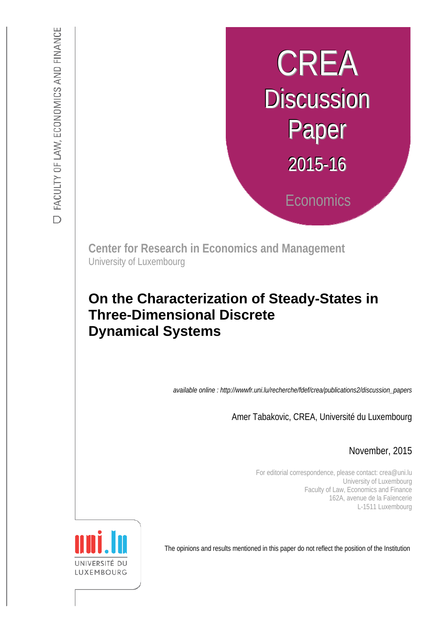# CREA **Discussion** Paper 2015-16 **Economics**

**Center for Research in Economics and Management** University of Luxembourg

## :s *def.uni.lu/index.php/fdef\_FR/economie/crea*  **On the Characterization of Steady-States in Three-Dimensional Discrete Dynamical Systems**

*available online : http://wwwfr.uni.lu/recherche/fdef/crea/publications2/discussion\_papers* 

Amer Tabakovic, CREA, Université du Luxembourg

November, 2015

For editorial correspondence, please contact: crea@uni.lu University of Luxembourg Faculty of Law, Economics and Finance 162A, avenue de la Faïencerie L-1511 Luxembourg

The opinions and results mentioned in this paper do not reflect the position of the Institution

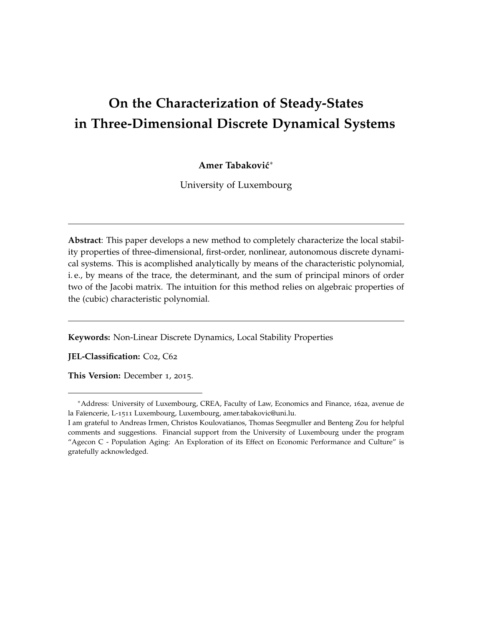## **On the Characterization of Steady-States in Three-Dimensional Discrete Dynamical Systems**

**Amer Tabakovic´** ∗

University of Luxembourg

**Abstract**: This paper develops a new method to completely characterize the local stability properties of three-dimensional, first-order, nonlinear, autonomous discrete dynamical systems. This is acomplished analytically by means of the characteristic polynomial, i. e., by means of the trace, the determinant, and the sum of principal minors of order two of the Jacobi matrix. The intuition for this method relies on algebraic properties of the (cubic) characteristic polynomial.

**Keywords:** Non-Linear Discrete Dynamics, Local Stability Properties

**JEL-Classification:** C02, C62

**This Version:** December 1, 2015.

<sup>∗</sup>Address: University of Luxembourg, CREA, Faculty of Law, Economics and Finance, 162a, avenue de la Faïencerie, L-1511 Luxembourg, Luxembourg, amer.tabakovic@uni.lu.

I am grateful to Andreas Irmen, Christos Koulovatianos, Thomas Seegmuller and Benteng Zou for helpful comments and suggestions. Financial support from the University of Luxembourg under the program "Agecon C - Population Aging: An Exploration of its Effect on Economic Performance and Culture" is gratefully acknowledged.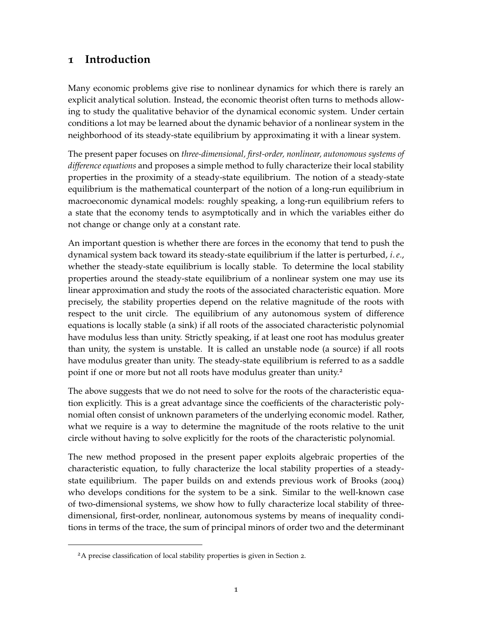## **1 Introduction**

Many economic problems give rise to nonlinear dynamics for which there is rarely an explicit analytical solution. Instead, the economic theorist often turns to methods allowing to study the qualitative behavior of the dynamical economic system. Under certain conditions a lot may be learned about the dynamic behavior of a nonlinear system in the neighborhood of its steady-state equilibrium by approximating it with a linear system.

The present paper focuses on *three-dimensional, first-order, nonlinear, autonomous systems of difference equations* and proposes a simple method to fully characterize their local stability properties in the proximity of a steady-state equilibrium. The notion of a steady-state equilibrium is the mathematical counterpart of the notion of a long-run equilibrium in macroeconomic dynamical models: roughly speaking, a long-run equilibrium refers to a state that the economy tends to asymptotically and in which the variables either do not change or change only at a constant rate.

An important question is whether there are forces in the economy that tend to push the dynamical system back toward its steady-state equilibrium if the latter is perturbed, *i*.*e*., whether the steady-state equilibrium is locally stable. To determine the local stability properties around the steady-state equilibrium of a nonlinear system one may use its linear approximation and study the roots of the associated characteristic equation. More precisely, the stability properties depend on the relative magnitude of the roots with respect to the unit circle. The equilibrium of any autonomous system of difference equations is locally stable (a sink) if all roots of the associated characteristic polynomial have modulus less than unity. Strictly speaking, if at least one root has modulus greater than unity, the system is unstable. It is called an unstable node (a source) if all roots have modulus greater than unity. The steady-state equilibrium is referred to as a saddle point if one or more but not all roots have modulus greater than unity.<sup>2</sup>

The above suggests that we do not need to solve for the roots of the characteristic equation explicitly. This is a great advantage since the coefficients of the characteristic polynomial often consist of unknown parameters of the underlying economic model. Rather, what we require is a way to determine the magnitude of the roots relative to the unit circle without having to solve explicitly for the roots of the characteristic polynomial.

The new method proposed in the present paper exploits algebraic properties of the characteristic equation, to fully characterize the local stability properties of a steadystate equilibrium. The paper builds on and extends previous work of Brooks (2004) who develops conditions for the system to be a sink. Similar to the well-known case of two-dimensional systems, we show how to fully characterize local stability of threedimensional, first-order, nonlinear, autonomous systems by means of inequality conditions in terms of the trace, the sum of principal minors of order two and the determinant

<sup>2</sup>A precise classification of local stability properties is given in Section 2.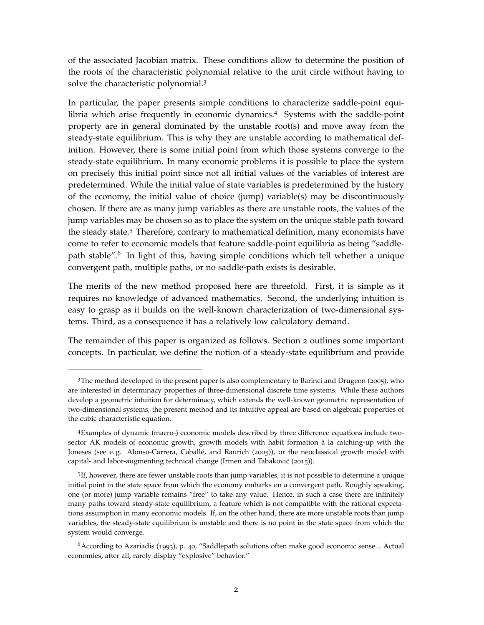of the associated Jacobian matrix. These conditions allow to determine the position of the roots of the characteristic polynomial relative to the unit circle without having to solve the characteristic polynomial.<sup>3</sup>

In particular, the paper presents simple conditions to characterize saddle-point equilibria which arise frequently in economic dynamics.<sup>4</sup> Systems with the saddle-point property are in general dominated by the unstable root(s) and move away from the steady-state equilibrium. This is why they are unstable according to mathematical definition. However, there is some initial point from which those systems converge to the steady-state equilibrium. In many economic problems it is possible to place the system on precisely this initial point since not all initial values of the variables of interest are predetermined. While the initial value of state variables is predetermined by the history of the economy, the initial value of choice (jump) variable(s) may be discontinuously chosen. If there are as many jump variables as there are unstable roots, the values of the jump variables may be chosen so as to place the system on the unique stable path toward the steady state.<sup>5</sup> Therefore, contrary to mathematical definition, many economists have come to refer to economic models that feature saddle-point equilibria as being "saddlepath stable".<sup>6</sup> In light of this, having simple conditions which tell whether a unique convergent path, multiple paths, or no saddle-path exists is desirable.

The merits of the new method proposed here are threefold. First, it is simple as it requires no knowledge of advanced mathematics. Second, the underlying intuition is easy to grasp as it builds on the well-known characterization of two-dimensional systems. Third, as a consequence it has a relatively low calculatory demand.

The remainder of this paper is organized as follows. Section 2 outlines some important concepts. In particular, we define the notion of a steady-state equilibrium and provide

<sup>3</sup>The method developed in the present paper is also complementary to Barinci and Drugeon (2005), who are interested in determinacy properties of three-dimensional discrete time systems. While these authors develop a geometric intuition for determinacy, which extends the well-known geometric representation of two-dimensional systems, the present method and its intuitive appeal are based on algebraic properties of the cubic characteristic equation.

<sup>4</sup>Examples of dynamic (macro-) economic models described by three difference equations include twosector AK models of economic growth, growth models with habit formation à la catching-up with the Joneses (see e.g. Alonso-Carrera, Caballé, and Raurich (2005)), or the neoclassical growth model with capital- and labor-augmenting technical change (Irmen and Tabaković (2015)).

<sup>5</sup> If, however, there are fewer unstable roots than jump variables, it is not possible to determine a unique initial point in the state space from which the economy embarks on a convergent path. Roughly speaking, one (or more) jump variable remains "free" to take any value. Hence, in such a case there are infinitely many paths toward steady-state equilibrium, a feature which is not compatible with the rational expectations assumption in many economic models. If, on the other hand, there are more unstable roots than jump variables, the steady-state equilibrium is unstable and there is no point in the state space from which the system would converge.

<sup>6</sup>According to Azariadis (1993), p. 40, "Saddlepath solutions often make good economic sense... Actual economies, after all, rarely display "explosive" behavior."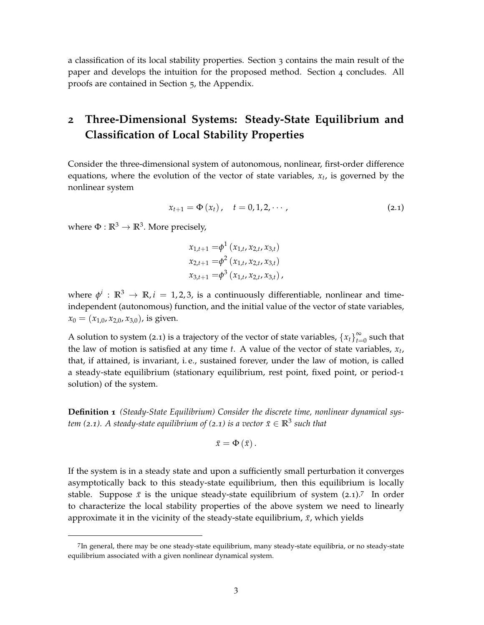a classification of its local stability properties. Section 3 contains the main result of the paper and develops the intuition for the proposed method. Section 4 concludes. All proofs are contained in Section 5, the Appendix.

## **2 Three-Dimensional Systems: Steady-State Equilibrium and Classification of Local Stability Properties**

Consider the three-dimensional system of autonomous, nonlinear, first-order difference equations, where the evolution of the vector of state variables, *x<sup>t</sup>* , is governed by the nonlinear system

$$
x_{t+1} = \Phi(x_t), \quad t = 0, 1, 2, \cdots,
$$
 (2.1)

where  $\Phi : \mathbb{R}^3 \to \mathbb{R}^3$ . More precisely,

$$
x_{1,t+1} = \phi^1(x_{1,t}, x_{2,t}, x_{3,t})
$$
  
\n
$$
x_{2,t+1} = \phi^2(x_{1,t}, x_{2,t}, x_{3,t})
$$
  
\n
$$
x_{3,t+1} = \phi^3(x_{1,t}, x_{2,t}, x_{3,t}),
$$

where  $\phi^i$  :  $\mathbb{R}^3 \to \mathbb{R}$ ,  $i = 1, 2, 3$ , is a continuously differentiable, nonlinear and timeindependent (autonomous) function, and the initial value of the vector of state variables,  $x_0 = (x_{1,0}, x_{2,0}, x_{3,0})$ , is given.

A solution to system (2.1) is a trajectory of the vector of state variables,  ${x_t}_{t=1}^{\infty}$  $\sum_{t=0}^{\infty}$  such that the law of motion is satisfied at any time *t*. A value of the vector of state variables, *x<sup>t</sup>* , that, if attained, is invariant, i. e., sustained forever, under the law of motion, is called a steady-state equilibrium (stationary equilibrium, rest point, fixed point, or period-1 solution) of the system.

**Definition 1** *(Steady-State Equilibrium) Consider the discrete time, nonlinear dynamical system (*2.1). A steady-state equilibrium of (2.1) is a vector  $\bar{x} \in \mathbb{R}^3$  such that

$$
\bar{x}=\Phi\left( \bar{x}\right) .
$$

If the system is in a steady state and upon a sufficiently small perturbation it converges asymptotically back to this steady-state equilibrium, then this equilibrium is locally stable. Suppose  $\bar{x}$  is the unique steady-state equilibrium of system (2.1).<sup>7</sup> In order to characterize the local stability properties of the above system we need to linearly approximate it in the vicinity of the steady-state equilibrium,  $\bar{x}$ , which yields

<sup>7</sup> In general, there may be one steady-state equilibrium, many steady-state equilibria, or no steady-state equilibrium associated with a given nonlinear dynamical system.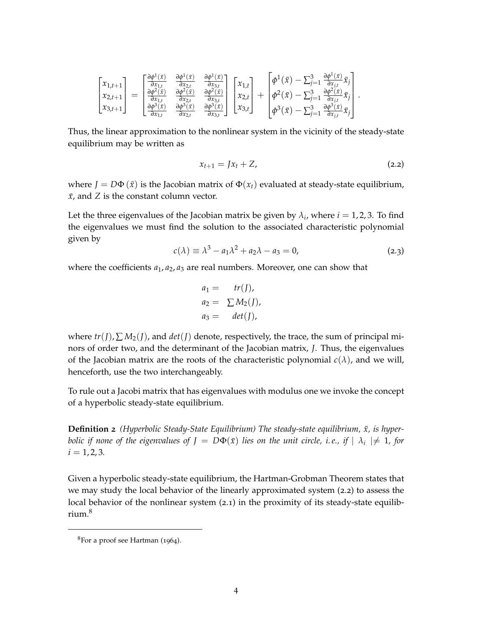$$
\begin{bmatrix} x_{1,t+1} \\ x_{2,t+1} \\ x_{3,t+1} \end{bmatrix} = \begin{bmatrix} \frac{\partial \phi^1(\bar{x})}{\partial x_{1,t}} & \frac{\partial \phi^1(\bar{x})}{\partial x_{2,t}} & \frac{\partial \phi^1(\bar{x})}{\partial x_{3,t}} \\ \frac{\partial \phi^2(\bar{x})}{\partial x_{1,t}} & \frac{\partial \phi^2(\bar{x})}{\partial x_{2,t}} & \frac{\partial \phi^2(\bar{x})}{\partial x_{3,t}} \\ \frac{\partial \phi^3(\bar{x})}{\partial x_{1,t}} & \frac{\partial \phi^3(\bar{x})}{\partial x_{2,t}} & \frac{\partial \phi^3(\bar{x})}{\partial x_{3,t}} \end{bmatrix} \begin{bmatrix} x_{1,t} \\ x_{2,t} \\ x_{3,t} \end{bmatrix} + \begin{bmatrix} \phi^1(\bar{x}) - \sum_{j=1}^3 \frac{\partial \phi^1(\bar{x})}{\partial x_{j,t}} \bar{x}_j \\ \phi^2(\bar{x}) - \sum_{j=1}^3 \frac{\partial \phi^2(\bar{x})}{\partial x_{j,t}} \bar{x}_j \\ \phi^3(\bar{x}) - \sum_{j=1}^3 \frac{\partial \phi^3(\bar{x})}{\partial x_{j,t}} \bar{x}_j \end{bmatrix}
$$

Thus, the linear approximation to the nonlinear system in the vicinity of the steady-state equilibrium may be written as

$$
x_{t+1} = Jx_t + Z,\tag{2.2}
$$

.

where  $J = D\Phi(\bar{x})$  is the Jacobian matrix of  $\Phi(x_t)$  evaluated at steady-state equilibrium,  $\bar{x}$ , and *Z* is the constant column vector.

Let the three eigenvalues of the Jacobian matrix be given by  $\lambda_i$ , where  $i = 1, 2, 3$ . To find the eigenvalues we must find the solution to the associated characteristic polynomial given by

$$
c(\lambda) \equiv \lambda^3 - a_1 \lambda^2 + a_2 \lambda - a_3 = 0, \tag{2.3}
$$

where the coefficients  $a_1$ ,  $a_2$ ,  $a_3$  are real numbers. Moreover, one can show that

$$
a_1 = tr(J),
$$
  
\n
$$
a_2 = \sum M_2(J),
$$
  
\n
$$
a_3 = det(J),
$$

where  $tr(I), \sum M_2(I)$ , and  $det(I)$  denote, respectively, the trace, the sum of principal minors of order two, and the determinant of the Jacobian matrix, *J*. Thus, the eigenvalues of the Jacobian matrix are the roots of the characteristic polynomial  $c(\lambda)$ , and we will, henceforth, use the two interchangeably.

To rule out a Jacobi matrix that has eigenvalues with modulus one we invoke the concept of a hyperbolic steady-state equilibrium.

**Definition 2** *(Hyperbolic Steady-State Equilibrium)* The steady-state equilibrium,  $\bar{x}$ , is hyper*bolic if none of the eigenvalues of*  $J = D\Phi(\bar{x})$  *lies on the unit circle, i.e., if*  $\mid \lambda_i \mid \neq 1$ *, for*  $i = 1, 2, 3.$ 

Given a hyperbolic steady-state equilibrium, the Hartman-Grobman Theorem states that we may study the local behavior of the linearly approximated system (2.2) to assess the local behavior of the nonlinear system (2.1) in the proximity of its steady-state equilibrium.<sup>8</sup>

<sup>8</sup>For a proof see Hartman (1964).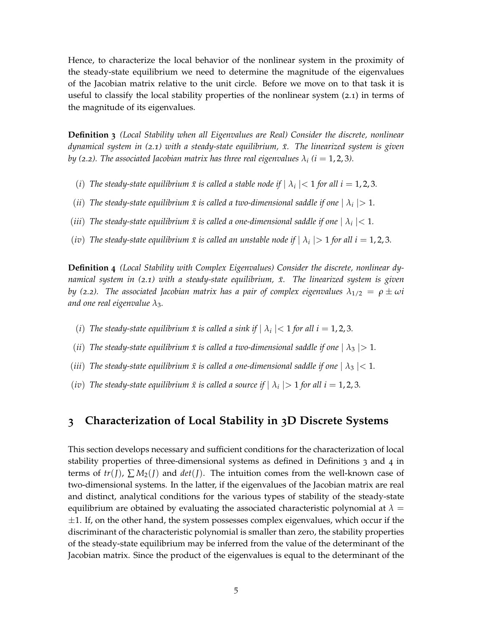Hence, to characterize the local behavior of the nonlinear system in the proximity of the steady-state equilibrium we need to determine the magnitude of the eigenvalues of the Jacobian matrix relative to the unit circle. Before we move on to that task it is useful to classify the local stability properties of the nonlinear system (2.1) in terms of the magnitude of its eigenvalues.

**Definition 3** *(Local Stability when all Eigenvalues are Real) Consider the discrete, nonlinear dynamical system in* (2.1) with a steady-state equilibrium,  $\bar{x}$ . The linearized system is given *by (2.2). The associated Jacobian matrix has three real eigenvalues*  $\lambda_i$  *(i*  $= 1, 2, 3$ *).* 

- (*i*) The steady-state equilibrium  $\bar{x}$  is called a stable node if  $| \lambda_i |$  < 1 for all  $i = 1, 2, 3$ .
- (*ii*) The steady-state equilibrium  $\bar{x}$  is called a two-dimensional saddle if one  $| \lambda_i |$  > 1.
- *(iii)* The steady-state equilibrium  $\bar{x}$  is called a one-dimensional saddle if one  $| \lambda_i |$  < 1.
- (*iv*) The steady-state equilibrium  $\bar{x}$  is called an unstable node if  $| \lambda_i |$  > 1 for all i = 1, 2, 3.

**Definition 4** *(Local Stability with Complex Eigenvalues) Consider the discrete, nonlinear dynamical system in (2.1) with a steady-state equilibrium,*  $\bar{x}$ *. The linearized system is given by* (2.2). The associated Jacobian matrix has a pair of complex eigenvalues  $\lambda_{1/2} = \rho \pm \omega i$ *and one real eigenvalue λ*3*.*

- (*i*) *The steady-state equilibrium*  $\bar{x}$  *is called a sink if*  $| \lambda_i |$  < 1 *for all i* = 1, 2, 3.
- *(ii) The steady-state equilibrium*  $\bar{x}$  *is called a two-dimensional saddle if one*  $| \lambda_3 | > 1$ *.*
- *(iii) The steady-state equilibrium*  $\bar{x}$  *is called a one-dimensional saddle if one*  $| \lambda_3 |$  < 1*.*
- *(iv)* The steady-state equilibrium  $\bar{x}$  is called a source if  $| \lambda_i |$  > 1 for all i = 1, 2, 3.

### **3 Characterization of Local Stability in 3D Discrete Systems**

This section develops necessary and sufficient conditions for the characterization of local stability properties of three-dimensional systems as defined in Definitions 3 and 4 in terms of  $tr(I)$ ,  $\sum M_2(I)$  and  $det(I)$ . The intuition comes from the well-known case of two-dimensional systems. In the latter, if the eigenvalues of the Jacobian matrix are real and distinct, analytical conditions for the various types of stability of the steady-state equilibrium are obtained by evaluating the associated characteristic polynomial at  $\lambda =$  $\pm 1$ . If, on the other hand, the system possesses complex eigenvalues, which occur if the discriminant of the characteristic polynomial is smaller than zero, the stability properties of the steady-state equilibrium may be inferred from the value of the determinant of the Jacobian matrix. Since the product of the eigenvalues is equal to the determinant of the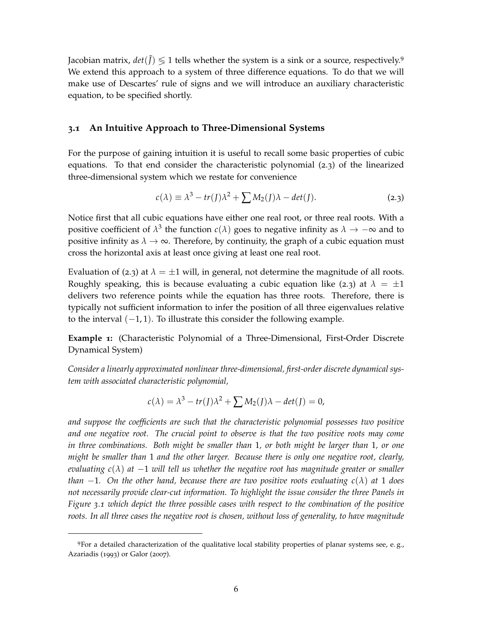Jacobian matrix,  $det(\tilde{J}) \leq 1$  tells whether the system is a sink or a source, respectively.<sup>9</sup> We extend this approach to a system of three difference equations. To do that we will make use of Descartes' rule of signs and we will introduce an auxiliary characteristic equation, to be specified shortly.

#### **3.1 An Intuitive Approach to Three-Dimensional Systems**

For the purpose of gaining intuition it is useful to recall some basic properties of cubic equations. To that end consider the characteristic polynomial (2.3) of the linearized three-dimensional system which we restate for convenience

$$
c(\lambda) \equiv \lambda^3 - tr(J)\lambda^2 + \sum M_2(J)\lambda - det(J).
$$
 (2.3)

Notice first that all cubic equations have either one real root, or three real roots. With a positive coefficient of  $\lambda^3$  the function  $c(\lambda)$  goes to negative infinity as  $\lambda \to -\infty$  and to positive infinity as  $\lambda \to \infty$ . Therefore, by continuity, the graph of a cubic equation must cross the horizontal axis at least once giving at least one real root.

Evaluation of (2.3) at  $\lambda = \pm 1$  will, in general, not determine the magnitude of all roots. Roughly speaking, this is because evaluating a cubic equation like (2.3) at  $\lambda = \pm 1$ delivers two reference points while the equation has three roots. Therefore, there is typically not sufficient information to infer the position of all three eigenvalues relative to the interval  $(-1, 1)$ . To illustrate this consider the following example.

**Example 1:** (Characteristic Polynomial of a Three-Dimensional, First-Order Discrete Dynamical System)

*Consider a linearly approximated nonlinear three-dimensional, first-order discrete dynamical system with associated characteristic polynomial,*

$$
c(\lambda) = \lambda^3 - tr(J)\lambda^2 + \sum M_2(J)\lambda - det(J) = 0,
$$

*and suppose the coefficients are such that the characteristic polynomial possesses two positive and one negative root. The crucial point to observe is that the two positive roots may come in three combinations. Both might be smaller than* 1*, or both might be larger than* 1*, or one might be smaller than* 1 *and the other larger. Because there is only one negative root, clearly, evaluating c*(*λ*) *at* −1 *will tell us whether the negative root has magnitude greater or smaller than*  $-1$ *. On the other hand, because there are two positive roots evaluating c(* $\lambda$ *) at* 1 *does not necessarily provide clear-cut information. To highlight the issue consider the three Panels in Figure 3.1 which depict the three possible cases with respect to the combination of the positive roots. In all three cases the negative root is chosen, without loss of generality, to have magnitude*

<sup>9</sup>For a detailed characterization of the qualitative local stability properties of planar systems see, e. g., Azariadis (1993) or Galor (2007).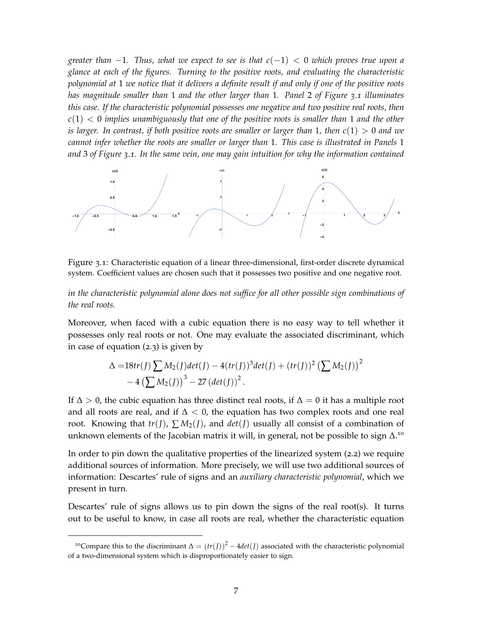*greater than* −1*. Thus, what we expect to see is that c*(−1) < 0 *which proves true upon a glance at each of the figures. Turning to the positive roots, and evaluating the characteristic polynomial at* 1 *we notice that it delivers a definite result if and only if one of the positive roots has magnitude smaller than* 1 *and the other larger than* 1*. Panel* 2 *of Figure 3.1 illuminates this case. If the characteristic polynomial possesses one negative and two positive real roots, then c*(1) < 0 *implies unambiguously that one of the positive roots is smaller than* 1 *and the other is larger. In contrast, if both positive roots are smaller or larger than* 1*, then c*(1) > 0 *and we cannot infer whether the roots are smaller or larger than* 1*. This case is illustrated in Panels* 1 *and* 3 *of Figure 3.1. In the same vein, one may gain intuition for why the information contained*



Figure 3.1: Characteristic equation of a linear three-dimensional, first-order discrete dynamical system. Coefficient values are chosen such that it possesses two positive and one negative root.

*in the characteristic polynomial alone does not suffice for all other possible sign combinations of the real roots.*

Moreover, when faced with a cubic equation there is no easy way to tell whether it possesses only real roots or not. One may evaluate the associated discriminant, which in case of equation (2.3) is given by

$$
\Delta = 18tr(J) \sum M_2(J) det(J) - 4(tr(J))^3 det(J) + (tr(J))^2 (\sum M_2(J))^2 - 4 (\sum M_2(J))^3 - 27 (det(J))^2.
$$

If  $\Delta > 0$ , the cubic equation has three distinct real roots, if  $\Delta = 0$  it has a multiple root and all roots are real, and if  $\Delta < 0$ , the equation has two complex roots and one real root. Knowing that  $tr(I)$ ,  $\sum M_2(I)$ , and  $det(I)$  usually all consist of a combination of unknown elements of the Jacobian matrix it will, in general, not be possible to sign  $\Delta$ .<sup>10</sup>

In order to pin down the qualitative properties of the linearized system (2.2) we require additional sources of information. More precisely, we will use two additional sources of information: Descartes' rule of signs and an *auxiliary characteristic polynomial*, which we present in turn.

Descartes' rule of signs allows us to pin down the signs of the real root(s). It turns out to be useful to know, in case all roots are real, whether the characteristic equation

<sup>&</sup>lt;sup>10</sup>Compare this to the discriminant  $\Delta = (tr(I))^2 - 4det(J)$  associated with the characteristic polynomial of a two-dimensional system which is disproportionately easier to sign.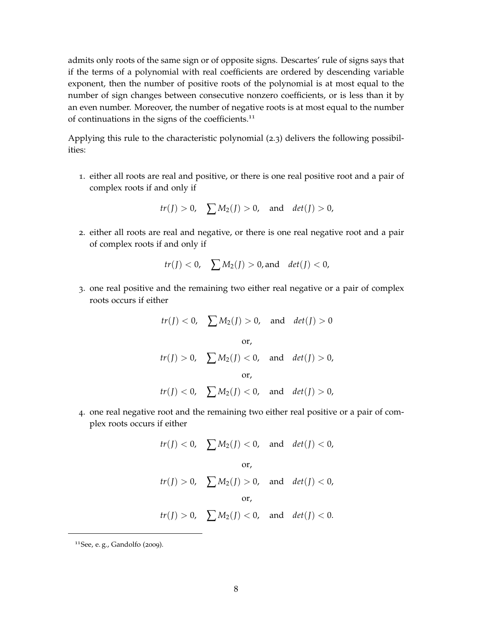admits only roots of the same sign or of opposite signs. Descartes' rule of signs says that if the terms of a polynomial with real coefficients are ordered by descending variable exponent, then the number of positive roots of the polynomial is at most equal to the number of sign changes between consecutive nonzero coefficients, or is less than it by an even number. Moreover, the number of negative roots is at most equal to the number of continuations in the signs of the coefficients.<sup>11</sup>

Applying this rule to the characteristic polynomial (2.3) delivers the following possibilities:

1. either all roots are real and positive, or there is one real positive root and a pair of complex roots if and only if

$$
tr(J) > 0, \quad \sum M_2(J) > 0, \quad \text{and} \quad det(J) > 0,
$$

2. either all roots are real and negative, or there is one real negative root and a pair of complex roots if and only if

$$
tr(I) < 0
$$
,  $\sum M_2(I) > 0$ , and  $det(I) < 0$ ,

3. one real positive and the remaining two either real negative or a pair of complex roots occurs if either

$$
tr(I) < 0
$$
,  $\sum M_2(I) > 0$ , and  $det(I) > 0$   
or,  
 $tr(I) > 0$ ,  $\sum M_2(I) < 0$ , and  $det(I) > 0$ ,  
or,  
 $tr(J) < 0$ ,  $\sum M_2(I) < 0$ , and  $det(I) > 0$ ,

4. one real negative root and the remaining two either real positive or a pair of complex roots occurs if either

$$
tr(J) < 0
$$
,  $\sum M_2(J) < 0$ , and  $det(J) < 0$ ,  
or,  
 $tr(J) > 0$ ,  $\sum M_2(J) > 0$ , and  $det(J) < 0$ ,  
or,  
 $tr(J) > 0$ ,  $\sum M_2(J) < 0$ , and  $det(J) < 0$ .

<sup>11</sup>See, e. g., Gandolfo (2009).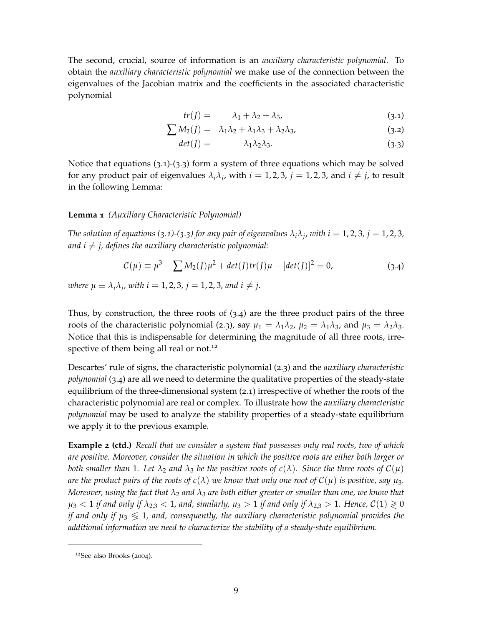The second, crucial, source of information is an *auxiliary characteristic polynomial*. To obtain the *auxiliary characteristic polynomial* we make use of the connection between the eigenvalues of the Jacobian matrix and the coefficients in the associated characteristic polynomial

$$
tr(J) = \lambda_1 + \lambda_2 + \lambda_3, \tag{3.1}
$$

$$
\sum M_2(J) = \lambda_1 \lambda_2 + \lambda_1 \lambda_3 + \lambda_2 \lambda_3, \tag{3.2}
$$

$$
det(J) = \lambda_1 \lambda_2 \lambda_3. \tag{3.3}
$$

Notice that equations  $(3.1)-(3.3)$  form a system of three equations which may be solved for any product pair of eigenvalues  $\lambda_i \lambda_j$ , with  $i = 1, 2, 3$ ,  $j = 1, 2, 3$ , and  $i \neq j$ , to result in the following Lemma:

#### **Lemma 1** *(Auxiliary Characteristic Polynomial)*

*The solution of equations (3.1*)-(*3.3*) for any pair of eigenvalues  $\lambda_i \lambda_j$ , with  $i = 1, 2, 3, j = 1, 2, 3$ , *and i*  $\neq$  *j, defines the auxiliary characteristic polynomial:* 

$$
\mathcal{C}(\mu) \equiv \mu^3 - \sum M_2(J)\mu^2 + \det(J)tr(J)\mu - [\det(J)]^2 = 0,
$$
\n(3.4)

*where*  $\mu \equiv \lambda_i \lambda_j$ , with  $i = 1, 2, 3$ ,  $j = 1, 2, 3$ , and  $i \neq j$ .

Thus, by construction, the three roots of  $(3.4)$  are the three product pairs of the three roots of the characteristic polynomial (2.3), say  $\mu_1 = \lambda_1 \lambda_2$ ,  $\mu_2 = \lambda_1 \lambda_3$ , and  $\mu_3 = \lambda_2 \lambda_3$ . Notice that this is indispensable for determining the magnitude of all three roots, irrespective of them being all real or not.<sup>12</sup>

Descartes' rule of signs, the characteristic polynomial (2.3) and the *auxiliary characteristic polynomial* (3.4) are all we need to determine the qualitative properties of the steady-state equilibrium of the three-dimensional system (2.1) irrespective of whether the roots of the characteristic polynomial are real or complex. To illustrate how the *auxiliary characteristic polynomial* may be used to analyze the stability properties of a steady-state equilibrium we apply it to the previous example.

**Example 2 (ctd.)** *Recall that we consider a system that possesses only real roots, two of which are positive. Moreover, consider the situation in which the positive roots are either both larger or both smaller than* 1*. Let*  $\lambda_2$  *and*  $\lambda_3$  *be the positive roots of*  $c(\lambda)$ *. Since the three roots of*  $C(\mu)$ *are the product pairs of the roots of*  $c(\lambda)$  *we know that only one root of*  $C(\mu)$  *is positive, say*  $\mu_3$ *. Moreover, using the fact that λ*<sup>2</sup> *and λ*<sup>3</sup> *are both either greater or smaller than one, we know that*  $\mu_3$  < 1 *if and only if*  $\lambda_{2,3}$  < 1, and, similarly,  $\mu_3 > 1$  *if and only if*  $\lambda_{2,3} > 1$ . Hence,  $\mathcal{C}(1) \geq 0$ *if and only if*  $\mu_3 \leq 1$ , and, consequently, the auxiliary characteristic polynomial provides the *additional information we need to characterize the stability of a steady-state equilibrium.*

<sup>12</sup>See also Brooks (2004).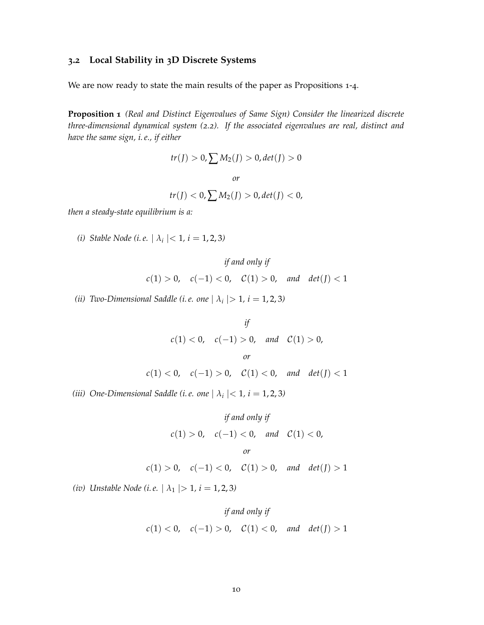#### **3.2 Local Stability in 3D Discrete Systems**

We are now ready to state the main results of the paper as Propositions 1-4.

**Proposition 1** *(Real and Distinct Eigenvalues of Same Sign) Consider the linearized discrete three-dimensional dynamical system (2.2). If the associated eigenvalues are real, distinct and have the same sign, i. e., if either*

$$
tr(I) > 0, \sum M_2(I) > 0, det(I) > 0
$$
  
or  
 $tr(J) < 0, \sum M_2(J) > 0, det(J) < 0,$ 

*then a steady-state equilibrium is a:*

*(i) Stable Node (i.e.*  $| \lambda_i |$  < 1*, i* = 1*,* 2*,* 3*)* 

$$
if and only if
$$

$$
c(1) > 0, \quad c(-1) < 0, \quad C(1) > 0, \quad and \quad det(J) < 1
$$

*(ii) Two-Dimensional Saddle (i.e. one*  $| \lambda_i | > 1$ ,  $i = 1, 2, 3$ *)* 

*if*  $c(1) < 0$ ,  $c(-1) > 0$ , and  $C(1) > 0$ , *or*  $c(1) < 0$ ,  $c(-1) > 0$ ,  $c(1) < 0$ , and  $det(J) < 1$ 

*(iii) One-Dimensional Saddle (i.e. one*  $| \lambda_i |$  < 1*, i* = 1*,* 2*,* 3*)* 

if and only if  
\n
$$
c(1) > 0
$$
,  $c(-1) < 0$ , and  $C(1) < 0$ ,  
\nor  
\n $c(1) > 0$ ,  $c(-1) < 0$ ,  $C(1) > 0$ , and det(*J*) > 1

*(iv) Unstable Node (i.e.*  $| \lambda_1 | > 1$ *, i* = 1, 2, 3*)* 

$$
if and only if
$$

$$
c(1) < 0, \quad c(-1) > 0, \quad \mathcal{C}(1) < 0, \quad \text{and} \quad \det(J) > 1
$$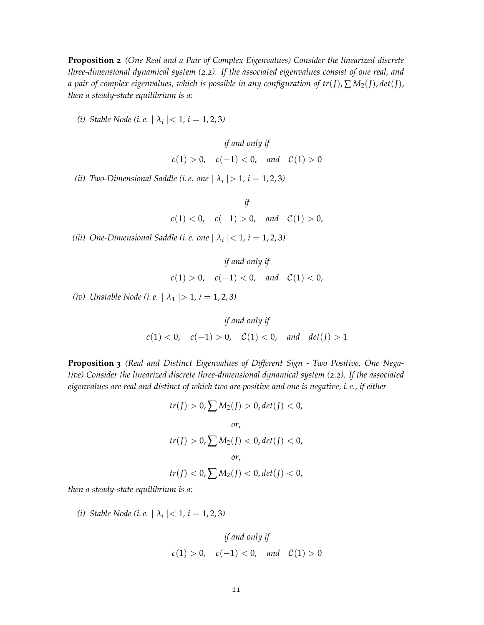**Proposition 2** *(One Real and a Pair of Complex Eigenvalues) Consider the linearized discrete three-dimensional dynamical system (2.2). If the associated eigenvalues consist of one real, and a pair of complex eigenvalues, which is possible in any configuration of tr*(*J*),  $\sum M_2(J)$ , *det*(*J*), *then a steady-state equilibrium is a:*

*(i) Stable Node (i.e.*  $| \lambda_i |$  < 1*, i* = 1*,* 2*,* 3*)* 

$$
if and only if
$$

$$
c(1) > 0, \quad c(-1) < 0, \quad and \quad C(1) > 0
$$

*(ii) Two-Dimensional Saddle (i.e. one*  $| \lambda_i | > 1$ ,  $i = 1, 2, 3$ *)* 

*if*  $c(1) < 0, \quad c(-1) > 0, \quad and \quad C(1) > 0,$ 

*(iii) One-Dimensional Saddle (i.e. one*  $| \lambda_i |$  < 1*, i* = 1*,* 2*,* 3*)* 

$$
if and only if
$$
  

$$
c(1) > 0, \quad c(-1) < 0, \quad and \quad C(1) < 0,
$$

*(iv) Unstable Node (i.e.*  $|\lambda_1| > 1$ *, i* = 1, 2, 3*)* 

$$
\text{if and only if} \\ c(1) < 0, \quad c(-1) > 0, \quad \mathcal{C}(1) < 0, \quad \text{and} \quad \det(J) > 1
$$

**Proposition 3** *(Real and Distinct Eigenvalues of Different Sign - Two Positive, One Negative) Consider the linearized discrete three-dimensional dynamical system (2.2). If the associated eigenvalues are real and distinct of which two are positive and one is negative, i. e., if either*

$$
tr(J) > 0, \sum M_2(J) > 0, det(J) < 0,
$$
  
or,  

$$
tr(J) > 0, \sum M_2(J) < 0, det(J) < 0,
$$
  
or,  

$$
tr(J) < 0, \sum M_2(J) < 0, det(J) < 0,
$$

*then a steady-state equilibrium is a:*

*(i) Stable Node (i.e.*  $| \lambda_i |$  < 1*, i* = 1*,* 2*,* 3*)* 

if and only if  

$$
c(1) > 0
$$
,  $c(-1) < 0$ , and  $C(1) > 0$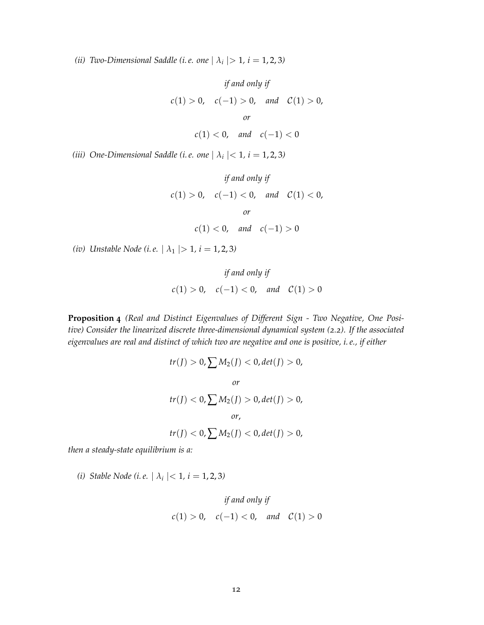*(ii) Two-Dimensional Saddle (i.e. one*  $| \lambda_i | > 1$ ,  $i = 1, 2, 3$ *)* 

if and only if  
\n
$$
c(1) > 0
$$
,  $c(-1) > 0$ , and  $C(1) > 0$ ,  
\nor  
\n $c(1) < 0$ , and  $c(-1) < 0$ 

*(iii) One-Dimensional Saddle (i.e. one*  $| \lambda_i |$  < 1*, i* = 1*,* 2*,* 3*)* 

if and only if  
\n
$$
c(1) > 0
$$
,  $c(-1) < 0$ , and  $C(1) < 0$ ,  
\nor  
\n $c(1) < 0$ , and  $c(-1) > 0$ 

*(iv) Unstable Node (i.e.*  $| \lambda_1 | > 1$ *, i* = 1, 2, 3*)* 

if and only if  

$$
c(1) > 0
$$
,  $c(-1) < 0$ , and  $C(1) > 0$ 

**Proposition 4** *(Real and Distinct Eigenvalues of Different Sign - Two Negative, One Positive) Consider the linearized discrete three-dimensional dynamical system (2.2). If the associated eigenvalues are real and distinct of which two are negative and one is positive, i. e., if either*

$$
tr(J) > 0, \sum M_2(J) < 0, det(J) > 0,
$$
  
or  

$$
tr(J) < 0, \sum M_2(J) > 0, det(J) > 0,
$$
  
or,  

$$
tr(J) < 0, \sum M_2(J) < 0, det(J) > 0,
$$

*then a steady-state equilibrium is a:*

*(i) Stable Node (i.e.*  $| \lambda_i |$  < 1*, i* = 1*,* 2*,* 3*)* 

$$
if and only if
$$

$$
c(1) > 0, \quad c(-1) < 0, \quad and \quad C(1) > 0
$$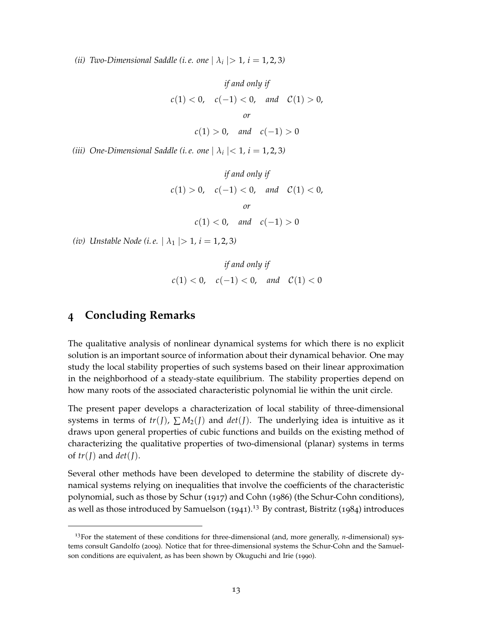*(ii) Two-Dimensional Saddle (i.e. one*  $| \lambda_i | > 1$ ,  $i = 1, 2, 3$ *)* 

if and only if  
\n
$$
c(1) < 0
$$
,  $c(-1) < 0$ , and  $C(1) > 0$ ,  
\nor  
\n $c(1) > 0$ , and  $c(-1) > 0$ 

*(iii) One-Dimensional Saddle (i.e. one*  $| \lambda_i |$  < 1*, i* = 1*,* 2*,* 3*)* 

if and only if  
\n
$$
c(1) > 0
$$
,  $c(-1) < 0$ , and  $C(1) < 0$ ,  
\nor  
\n $c(1) < 0$ , and  $c(-1) > 0$ 

*(iv) Unstable Node (i.e.*  $|\lambda_1| > 1$ *, i* = 1, 2, 3*)* 

if and only if  

$$
c(1) < 0
$$
,  $c(-1) < 0$ , and  $C(1) < 0$ 

## **4 Concluding Remarks**

The qualitative analysis of nonlinear dynamical systems for which there is no explicit solution is an important source of information about their dynamical behavior. One may study the local stability properties of such systems based on their linear approximation in the neighborhood of a steady-state equilibrium. The stability properties depend on how many roots of the associated characteristic polynomial lie within the unit circle.

The present paper develops a characterization of local stability of three-dimensional systems in terms of  $tr(J)$ ,  $\sum M_2(J)$  and  $det(J)$ . The underlying idea is intuitive as it draws upon general properties of cubic functions and builds on the existing method of characterizing the qualitative properties of two-dimensional (planar) systems in terms of  $tr(J)$  and  $det(J)$ .

Several other methods have been developed to determine the stability of discrete dynamical systems relying on inequalities that involve the coefficients of the characteristic polynomial, such as those by Schur (1917) and Cohn (1986) (the Schur-Cohn conditions), as well as those introduced by Samuelson  $(1941).<sup>13</sup>$  By contrast, Bistritz  $(1984)$  introduces

<sup>13</sup>For the statement of these conditions for three-dimensional (and, more generally, *n*-dimensional) systems consult Gandolfo (2009). Notice that for three-dimensional systems the Schur-Cohn and the Samuelson conditions are equivalent, as has been shown by Okuguchi and Irie (1990).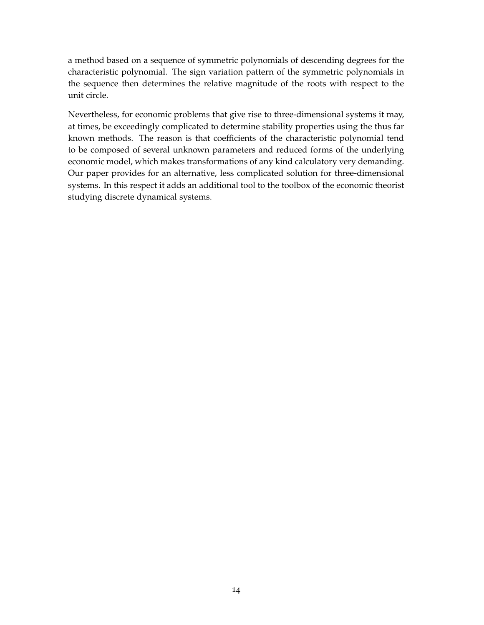a method based on a sequence of symmetric polynomials of descending degrees for the characteristic polynomial. The sign variation pattern of the symmetric polynomials in the sequence then determines the relative magnitude of the roots with respect to the unit circle.

Nevertheless, for economic problems that give rise to three-dimensional systems it may, at times, be exceedingly complicated to determine stability properties using the thus far known methods. The reason is that coefficients of the characteristic polynomial tend to be composed of several unknown parameters and reduced forms of the underlying economic model, which makes transformations of any kind calculatory very demanding. Our paper provides for an alternative, less complicated solution for three-dimensional systems. In this respect it adds an additional tool to the toolbox of the economic theorist studying discrete dynamical systems.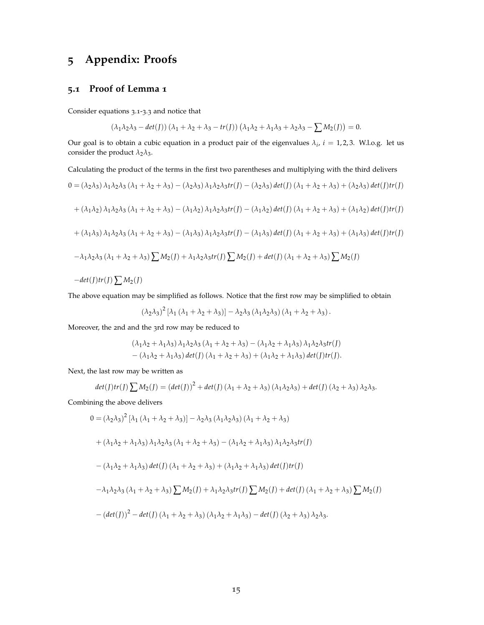## **5 Appendix: Proofs**

#### **5.1 Proof of Lemma 1**

Consider equations 3.1-3.3 and notice that

$$
(\lambda_1\lambda_2\lambda_3 - \det(J))(\lambda_1 + \lambda_2 + \lambda_3 - \operatorname{tr}(J))(\lambda_1\lambda_2 + \lambda_1\lambda_3 + \lambda_2\lambda_3 - \sum M_2(J)) = 0.
$$

Our goal is to obtain a cubic equation in a product pair of the eigenvalues  $\lambda_i$ ,  $i = 1, 2, 3$ . W.l.o.g. let us consider the product  $\lambda_2 \lambda_3$ .

Calculating the product of the terms in the first two parentheses and multiplying with the third delivers

$$
0 = (\lambda_2 \lambda_3) \lambda_1 \lambda_2 \lambda_3 (\lambda_1 + \lambda_2 + \lambda_3) - (\lambda_2 \lambda_3) \lambda_1 \lambda_2 \lambda_3 tr(J) - (\lambda_2 \lambda_3) det(J) (\lambda_1 + \lambda_2 + \lambda_3) + (\lambda_2 \lambda_3) det(J) tr(J)
$$
  
+  $(\lambda_1 \lambda_2) \lambda_1 \lambda_2 \lambda_3 (\lambda_1 + \lambda_2 + \lambda_3) - (\lambda_1 \lambda_2) \lambda_1 \lambda_2 \lambda_3 tr(J) - (\lambda_1 \lambda_2) det(J) (\lambda_1 + \lambda_2 + \lambda_3) + (\lambda_1 \lambda_2) det(J) tr(J)$   
+  $(\lambda_1 \lambda_3) \lambda_1 \lambda_2 \lambda_3 (\lambda_1 + \lambda_2 + \lambda_3) - (\lambda_1 \lambda_3) \lambda_1 \lambda_2 \lambda_3 tr(J) - (\lambda_1 \lambda_3) det(J) (\lambda_1 + \lambda_2 + \lambda_3) + (\lambda_1 \lambda_3) det(J) tr(J)$   
-  $\lambda_1 \lambda_2 \lambda_3 (\lambda_1 + \lambda_2 + \lambda_3) \sum M_2(J) + \lambda_1 \lambda_2 \lambda_3 tr(J) \sum M_2(J) + det(J) (\lambda_1 + \lambda_2 + \lambda_3) \sum M_2(J)$   
-  $det(J) tr(J) \sum M_2(J)$ 

The above equation may be simplified as follows. Notice that the first row may be simplified to obtain

$$
(\lambda_2\lambda_3)^2 [\lambda_1 (\lambda_1 + \lambda_2 + \lambda_3)] - \lambda_2\lambda_3 (\lambda_1\lambda_2\lambda_3) (\lambda_1 + \lambda_2 + \lambda_3).
$$

Moreover, the 2nd and the 3rd row may be reduced to

$$
(\lambda_1 \lambda_2 + \lambda_1 \lambda_3) \lambda_1 \lambda_2 \lambda_3 (\lambda_1 + \lambda_2 + \lambda_3) - (\lambda_1 \lambda_2 + \lambda_1 \lambda_3) \lambda_1 \lambda_2 \lambda_3 tr(f)
$$
  
 
$$
- (\lambda_1 \lambda_2 + \lambda_1 \lambda_3) det(f) (\lambda_1 + \lambda_2 + \lambda_3) + (\lambda_1 \lambda_2 + \lambda_1 \lambda_3) det(f) tr(f).
$$

Next, the last row may be written as

$$
det(J)tr(J) \sum M_2(J) = (det(J))^2 + det(J) (\lambda_1 + \lambda_2 + \lambda_3) (\lambda_1 \lambda_2 \lambda_3) + det(J) (\lambda_2 + \lambda_3) \lambda_2 \lambda_3.
$$

Combining the above delivers

$$
0 = (\lambda_2 \lambda_3)^2 [\lambda_1 (\lambda_1 + \lambda_2 + \lambda_3)] - \lambda_2 \lambda_3 (\lambda_1 \lambda_2 \lambda_3) (\lambda_1 + \lambda_2 + \lambda_3)
$$
  
+ 
$$
(\lambda_1 \lambda_2 + \lambda_1 \lambda_3) \lambda_1 \lambda_2 \lambda_3 (\lambda_1 + \lambda_2 + \lambda_3) - (\lambda_1 \lambda_2 + \lambda_1 \lambda_3) \lambda_1 \lambda_2 \lambda_3 tr(I)
$$
  
- 
$$
(\lambda_1 \lambda_2 + \lambda_1 \lambda_3) det(I) (\lambda_1 + \lambda_2 + \lambda_3) + (\lambda_1 \lambda_2 + \lambda_1 \lambda_3) det(J) tr(I)
$$
  
- 
$$
\lambda_1 \lambda_2 \lambda_3 (\lambda_1 + \lambda_2 + \lambda_3) \sum M_2(I) + \lambda_1 \lambda_2 \lambda_3 tr(I) \sum M_2(I) + det(J) (\lambda_1 + \lambda_2 + \lambda_3) \sum M_2(I)
$$
  
- 
$$
(det(J))^2 - det(J) (\lambda_1 + \lambda_2 + \lambda_3) (\lambda_1 \lambda_2 + \lambda_1 \lambda_3) - det(J) (\lambda_2 + \lambda_3) \lambda_2 \lambda_3.
$$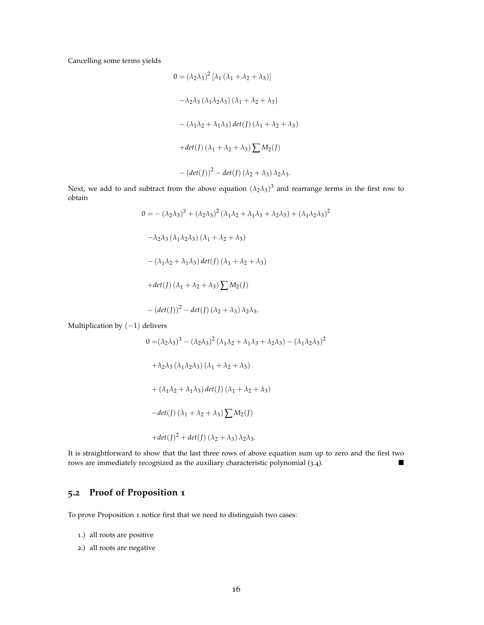Cancelling some terms yields

$$
0 = (\lambda_2 \lambda_3)^2 [\lambda_1 (\lambda_1 + \lambda_2 + \lambda_3)]
$$
  

$$
- \lambda_2 \lambda_3 (\lambda_1 \lambda_2 \lambda_3) (\lambda_1 + \lambda_2 + \lambda_3)
$$
  

$$
- (\lambda_1 \lambda_2 + \lambda_1 \lambda_3) \det(f) (\lambda_1 + \lambda_2 + \lambda_3)
$$
  

$$
+ det(f) (\lambda_1 + \lambda_2 + \lambda_3) \sum M_2(f)
$$
  

$$
- (det(f))^2 - det(f) (\lambda_2 + \lambda_3) \lambda_2 \lambda_3.
$$

Next, we add to and subtract from the above equation  $(\lambda_2 \lambda_3)^3$  and rearrange terms in the first row to obtain

> $0 = -(\lambda_2 \lambda_3)^3 + (\lambda_2 \lambda_3)^2 (\lambda_1 \lambda_2 + \lambda_1 \lambda_3 + \lambda_2 \lambda_3) + (\lambda_1 \lambda_2 \lambda_3)^2$  $-\lambda_2\lambda_3(\lambda_1\lambda_2\lambda_3)(\lambda_1+\lambda_2+\lambda_3)$  $-(\lambda_1 \lambda_2 + \lambda_1 \lambda_3)$  *det*(*J*) ( $\lambda_1 + \lambda_2 + \lambda_3$ )  $+det(J)(\lambda_1 + \lambda_2 + \lambda_3)\sum M_2(J)$  $-(det(J))$ <sup>2</sup> − *det*(*J*)( $λ$ <sub>2</sub> +  $λ$ <sub>3</sub>) $λ$ <sub>2</sub> $λ$ <sub>3</sub>.

Multiplication by  $(-1)$  delivers

$$
0 = (\lambda_2 \lambda_3)^3 - (\lambda_2 \lambda_3)^2 (\lambda_1 \lambda_2 + \lambda_1 \lambda_3 + \lambda_2 \lambda_3) - (\lambda_1 \lambda_2 \lambda_3)^2
$$
  
+  $\lambda_2 \lambda_3 (\lambda_1 \lambda_2 \lambda_3) (\lambda_1 + \lambda_2 + \lambda_3)$   
+  $( \lambda_1 \lambda_2 + \lambda_1 \lambda_3) \det(J) (\lambda_1 + \lambda_2 + \lambda_3)$   
-  $det(J) (\lambda_1 + \lambda_2 + \lambda_3) \sum M_2(J)$   
+  $det(J)^2 + det(J) (\lambda_2 + \lambda_3) \lambda_2 \lambda_3$ .

It is straightforward to show that the last three rows of above equation sum up to zero and the first two rows are immediately recognized as the auxiliary characteristic polynomial (3.4).

## **5.2 Proof of Proposition 1**

To prove Proposition 1 notice first that we need to distinguish two cases:

- 1.) all roots are positive
- 2.) all roots are negative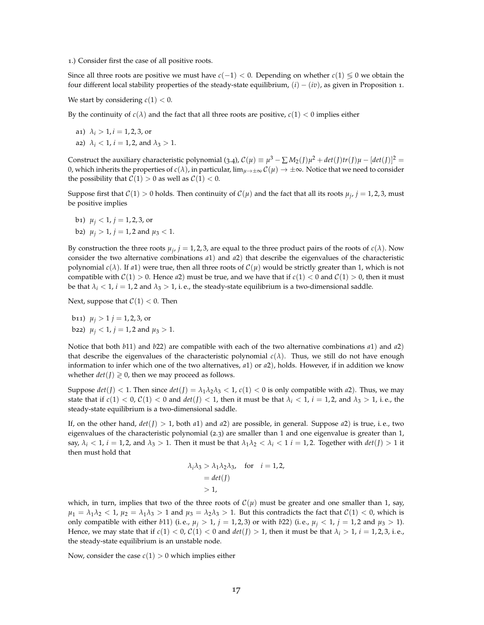1.) Consider first the case of all positive roots.

Since all three roots are positive we must have *c*(−1) < 0. Depending on whether *c*(1) ≶ 0 we obtain the four different local stability properties of the steady-state equilibrium, (*i*) − (*iv*), as given in Proposition 1.

We start by considering  $c(1) < 0$ .

By the continuity of  $c(\lambda)$  and the fact that all three roots are positive,  $c(1) < 0$  implies either

- a1)  $\lambda_i > 1, i = 1, 2, 3$ , or
- a2)  $\lambda_i$  < 1, *i* = 1, 2, and  $\lambda_3$  > 1.

Construct the auxiliary characteristic polynomial (3.4),  $C(\mu) \equiv \mu^3 - \sum M_2(J)\mu^2 + det(J)tr(J)\mu - [det(J)]^2 =$ 0, which inherits the properties of  $c(\lambda)$ , in particular,  $\lim_{\mu\to\pm\infty} C(\mu) \to \pm\infty$ . Notice that we need to consider the possibility that  $C(1) > 0$  as well as  $C(1) < 0$ .

Suppose first that  $C(1) > 0$  holds. Then continuity of  $C(\mu)$  and the fact that all its roots  $\mu_j$ ,  $j = 1, 2, 3$ , must be positive implies

b<sub>1</sub>)  $\mu$ <sup>*j*</sup> < 1*, j* = 1*,* 2*,* 3*,* or b2)  $\mu_i > 1$ ,  $j = 1, 2$  and  $\mu_3 < 1$ .

By construction the three roots  $\mu_j$ ,  $j = 1, 2, 3$ , are equal to the three product pairs of the roots of  $c(\lambda)$ . Now consider the two alternative combinations *a*1) and *a*2) that describe the eigenvalues of the characteristic polynomial  $c(\lambda)$ . If  $a_1$ ) were true, then all three roots of  $C(\mu)$  would be strictly greater than 1, which is not compatible with  $C(1) > 0$ . Hence *a*2) must be true, and we have that if  $c(1) < 0$  and  $C(1) > 0$ , then it must be that  $\lambda_i < 1$ ,  $i = 1, 2$  and  $\lambda_3 > 1$ , i.e., the steady-state equilibrium is a two-dimensional saddle.

Next, suppose that  $C(1) < 0$ . Then

b11)  $\mu_i > 1$  *j* = 1, 2, 3, or b22)  $\mu_j < 1$ ,  $j = 1, 2$  and  $\mu_3 > 1$ .

Notice that both *b*11) and *b*22) are compatible with each of the two alternative combinations *a*1) and *a*2) that describe the eigenvalues of the characteristic polynomial  $c(\lambda)$ . Thus, we still do not have enough information to infer which one of the two alternatives, *a*1) or *a*2), holds. However, if in addition we know whether  $det(I) \geq 0$ , then we may proceed as follows.

Suppose  $det(J) < 1$ . Then since  $det(J) = \lambda_1 \lambda_2 \lambda_3 < 1$ ,  $c(1) < 0$  is only compatible with  $a2$ ). Thus, we may state that if  $c(1) < 0$ ,  $C(1) < 0$  and  $det(J) < 1$ , then it must be that  $\lambda_i < 1$ ,  $i = 1, 2$ , and  $\lambda_3 > 1$ , i.e., the steady-state equilibrium is a two-dimensional saddle.

If, on the other hand,  $det(J) > 1$ , both  $a1$ ) and  $a2$ ) are possible, in general. Suppose  $a2$ ) is true, i.e., two eigenvalues of the characteristic polynomial (2.3) are smaller than 1 and one eigenvalue is greater than 1, say,  $\lambda_i < 1$ ,  $i = 1, 2$ , and  $\lambda_3 > 1$ . Then it must be that  $\lambda_1 \lambda_2 < \lambda_i < 1$   $i = 1, 2$ . Together with  $det(J) > 1$  it then must hold that

$$
\lambda_i \lambda_3 > \lambda_1 \lambda_2 \lambda_3, \text{ for } i = 1, 2,
$$
  
= det(J)  
> 1,

which, in turn, implies that two of the three roots of  $C(\mu)$  must be greater and one smaller than 1, say,  $\mu_1 = \lambda_1 \lambda_2 < 1$ ,  $\mu_2 = \lambda_1 \lambda_3 > 1$  and  $\mu_3 = \lambda_2 \lambda_3 > 1$ . But this contradicts the fact that  $C(1) < 0$ , which is only compatible with either *b*11) (i. e.,  $\mu_i > 1$ ,  $j = 1, 2, 3$ ) or with *b*22) (i. e.,  $\mu_i < 1$ ,  $j = 1, 2$  and  $\mu_3 > 1$ ). Hence, we may state that if  $c(1) < 0$ ,  $C(1) < 0$  and  $det(J) > 1$ , then it must be that  $\lambda_i > 1$ ,  $i = 1, 2, 3$ , i.e., the steady-state equilibrium is an unstable node.

Now, consider the case  $c(1) > 0$  which implies either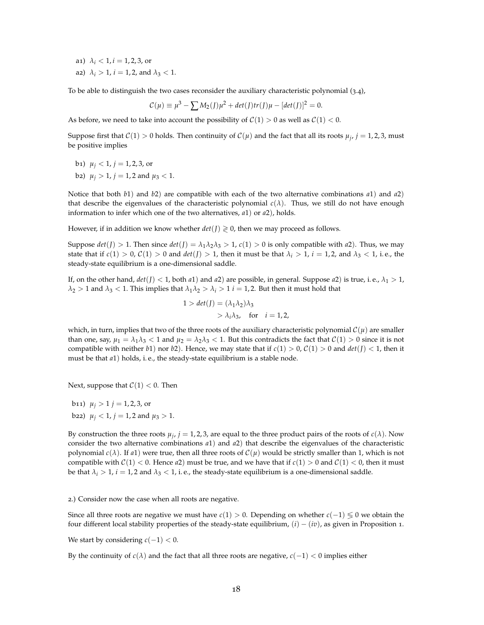- a1)  $\lambda_i < 1, i = 1, 2, 3$ , or
- a2)  $\lambda_i > 1$ ,  $i = 1, 2$ , and  $\lambda_3 < 1$ .

To be able to distinguish the two cases reconsider the auxiliary characteristic polynomial (3.4),

$$
C(\mu) \equiv \mu^{3} - \sum M_{2}(J)\mu^{2} + det(J)tr(J)\mu - [det(J)]^{2} = 0.
$$

As before, we need to take into account the possibility of  $C(1) > 0$  as well as  $C(1) < 0$ .

Suppose first that  $C(1) > 0$  holds. Then continuity of  $C(\mu)$  and the fact that all its roots  $\mu_j$ ,  $j = 1, 2, 3$ , must be positive implies

- b<sub>1</sub>)  $\mu$ <sup>*j*</sup> < 1*, j* = 1, 2, 3, or
- *b*<sub>2</sub>)  $\mu$ <sup>*j*</sup> > 1*, j* = 1*,* 2 and  $\mu$ <sup>3</sup> < 1.

Notice that both *b*1) and *b*2) are compatible with each of the two alternative combinations *a*1) and *a*2) that describe the eigenvalues of the characteristic polynomial  $c(\lambda)$ . Thus, we still do not have enough information to infer which one of the two alternatives, *a*1) or *a*2), holds.

However, if in addition we know whether  $det(I) \geq 0$ , then we may proceed as follows.

Suppose  $det(J) > 1$ . Then since  $det(J) = \lambda_1 \lambda_2 \lambda_3 > 1$ ,  $c(1) > 0$  is only compatible with *a*2). Thus, we may state that if  $c(1) > 0$ ,  $C(1) > 0$  and  $det(I) > 1$ , then it must be that  $\lambda_i > 1$ ,  $i = 1, 2$ , and  $\lambda_3 < 1$ , i.e., the steady-state equilibrium is a one-dimensional saddle.

If, on the other hand,  $det(J) < 1$ , both  $a1$ ) and  $a2$ ) are possible, in general. Suppose  $a2$ ) is true, i.e.,  $\lambda_1 > 1$ ,  $\lambda_2 > 1$  and  $\lambda_3 < 1$ . This implies that  $\lambda_1 \lambda_2 > \lambda_i > 1$  *i* = 1, 2. But then it must hold that

$$
1 > det(J) = (\lambda_1 \lambda_2) \lambda_3
$$
  
>  $\lambda_i \lambda_3$ , for  $i = 1, 2$ ,

which, in turn, implies that two of the three roots of the auxiliary characteristic polynomial  $\mathcal{C}(\mu)$  are smaller than one, say,  $\mu_1 = \lambda_1 \lambda_3 < 1$  and  $\mu_2 = \lambda_2 \lambda_3 < 1$ . But this contradicts the fact that  $\mathcal{C}(1) > 0$  since it is not compatible with neither *b*1) nor *b*2). Hence, we may state that if  $c(1) > 0$ ,  $C(1) > 0$  and  $det(J) < 1$ , then it must be that *a*1) holds, i. e., the steady-state equilibrium is a stable node.

Next, suppose that  $C(1) < 0$ . Then

b11)  $\mu_i > 1$  *j* = 1, 2, 3, or b22)  $\mu_i$  < 1,  $j = 1, 2$  and  $\mu_3 > 1$ .

By construction the three roots  $\mu_j$ ,  $j = 1, 2, 3$ , are equal to the three product pairs of the roots of  $c(\lambda)$ . Now consider the two alternative combinations *a*1) and *a*2) that describe the eigenvalues of the characteristic polynomial  $c(\lambda)$ . If *a*1) were true, then all three roots of  $C(\mu)$  would be strictly smaller than 1, which is not compatible with  $C(1) < 0$ . Hence *a*2) must be true, and we have that if  $c(1) > 0$  and  $C(1) < 0$ , then it must be that  $\lambda_i > 1$ ,  $i = 1, 2$  and  $\lambda_3 < 1$ , i.e., the steady-state equilibrium is a one-dimensional saddle.

2.) Consider now the case when all roots are negative.

Since all three roots are negative we must have *c*(1) > 0. Depending on whether *c*(−1) ≶ 0 we obtain the four different local stability properties of the steady-state equilibrium, (*i*) − (*iv*), as given in Proposition 1.

We start by considering  $c(-1) < 0$ .

By the continuity of  $c(\lambda)$  and the fact that all three roots are negative,  $c(-1) < 0$  implies either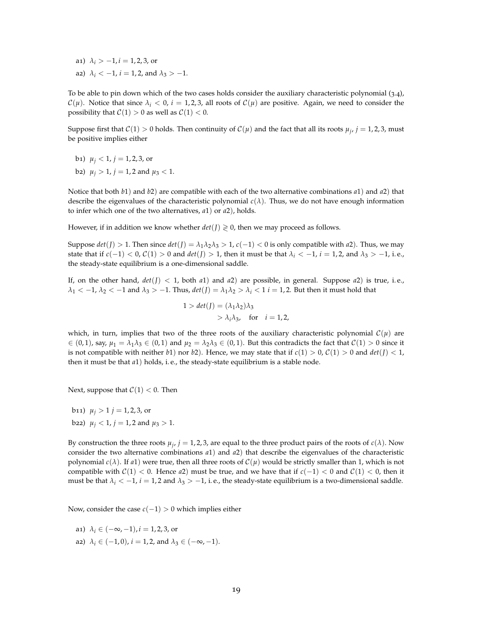- a1)  $\lambda_i > -1, i = 1, 2, 3$ , or
- a2)  $\lambda_i < -1$ ,  $i = 1, 2$ , and  $\lambda_3 > -1$ .

To be able to pin down which of the two cases holds consider the auxiliary characteristic polynomial (3.4),  $\mathcal{C}(\mu)$ . Notice that since  $\lambda_i < 0$ ,  $i = 1, 2, 3$ , all roots of  $\mathcal{C}(\mu)$  are positive. Again, we need to consider the possibility that  $C(1) > 0$  as well as  $C(1) < 0$ .

Suppose first that  $C(1) > 0$  holds. Then continuity of  $C(\mu)$  and the fact that all its roots  $\mu_j$ ,  $j = 1, 2, 3$ , must be positive implies either

- b<sub>1</sub>)  $\mu$ <sup>*j*</sup> < 1*, j* = 1, 2, 3, or
- b2)  $\mu_i > 1$ ,  $j = 1, 2$  and  $\mu_3 < 1$ .

Notice that both *b*1) and *b*2) are compatible with each of the two alternative combinations *a*1) and *a*2) that describe the eigenvalues of the characteristic polynomial *c*(*λ*). Thus, we do not have enough information to infer which one of the two alternatives, *a*1) or *a*2), holds.

However, if in addition we know whether  $det(I) \ge 0$ , then we may proceed as follows.

Suppose  $det(J) > 1$ . Then since  $det(J) = \lambda_1 \lambda_2 \lambda_3 > 1$ ,  $c(-1) < 0$  is only compatible with *a*2). Thus, we may state that if  $c(-1) < 0$ ,  $C(1) > 0$  and  $det(I) > 1$ , then it must be that  $\lambda_i < -1$ ,  $i = 1, 2$ , and  $\lambda_3 > -1$ , i.e., the steady-state equilibrium is a one-dimensional saddle.

If, on the other hand,  $det(J) < 1$ , both  $a1$ ) and  $a2$ ) are possible, in general. Suppose  $a2$ ) is true, i.e.,  $\lambda_1 < -1$ ,  $\lambda_2 < -1$  and  $\lambda_3 > -1$ . Thus,  $det(J) = \lambda_1 \lambda_2 > \lambda_i < 1$  *i* = 1, 2. But then it must hold that

$$
1 > det(J) = (\lambda_1 \lambda_2) \lambda_3
$$
  
>  $\lambda_i \lambda_3$ , for  $i = 1, 2$ ,

which, in turn, implies that two of the three roots of the auxiliary characteristic polynomial  $\mathcal{C}(\mu)$  are  $\in (0,1)$ , say,  $\mu_1 = \lambda_1 \lambda_3 \in (0,1)$  and  $\mu_2 = \lambda_2 \lambda_3 \in (0,1)$ . But this contradicts the fact that  $\mathcal{C}(1) > 0$  since it is not compatible with neither *b*1) nor *b*2). Hence, we may state that if  $c(1) > 0$ ,  $C(1) > 0$  and  $det(J) < 1$ , then it must be that *a*1) holds, i. e., the steady-state equilibrium is a stable node.

Next, suppose that  $C(1) < 0$ . Then

b11)  $\mu_i > 1$  *j* = 1, 2, 3, or b22)  $\mu_i$  < 1,  $j = 1, 2$  and  $\mu_3 > 1$ .

By construction the three roots  $\mu_j$ ,  $j = 1, 2, 3$ , are equal to the three product pairs of the roots of  $c(\lambda)$ . Now consider the two alternative combinations *a*1) and *a*2) that describe the eigenvalues of the characteristic polynomial  $c(\lambda)$ . If  $a1$ ) were true, then all three roots of  $C(\mu)$  would be strictly smaller than 1, which is not compatible with  $C(1) < 0$ . Hence *a*2) must be true, and we have that if  $c(-1) < 0$  and  $C(1) < 0$ , then it must be that  $\lambda_i < -1$ ,  $i = 1, 2$  and  $\lambda_3 > -1$ , i.e., the steady-state equilibrium is a two-dimensional saddle.

Now, consider the case *c*(−1) > 0 which implies either

- a1)  $\lambda_i \in (-\infty, -1), i = 1, 2, 3$ , or
- a2)  $\lambda_i \in (-1, 0)$ ,  $i = 1, 2$ , and  $\lambda_3 \in (-\infty, -1)$ .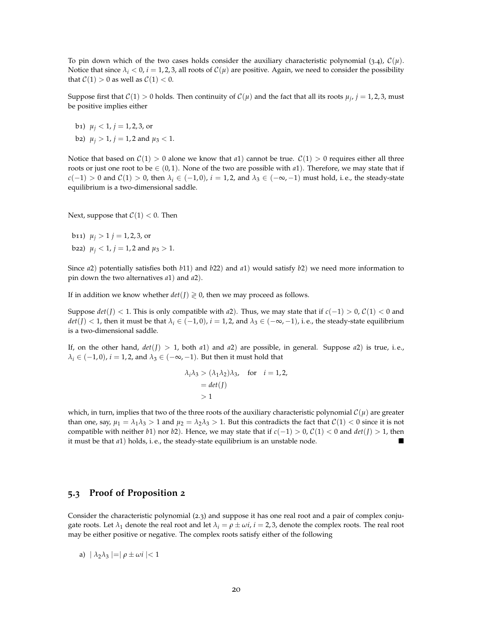To pin down which of the two cases holds consider the auxiliary characteristic polynomial (3.4),  $C(\mu)$ . Notice that since  $\lambda_i < 0$ ,  $i = 1, 2, 3$ , all roots of  $\mathcal{C}(\mu)$  are positive. Again, we need to consider the possibility that  $C(1) > 0$  as well as  $C(1) < 0$ .

Suppose first that  $C(1) > 0$  holds. Then continuity of  $C(\mu)$  and the fact that all its roots  $\mu_j$ ,  $j = 1, 2, 3$ , must be positive implies either

- b<sub>1</sub>)  $\mu$ <sup>*j*</sup> < 1*, j* = 1, 2, 3, or
- b2)  $\mu_j > 1$ ,  $j = 1, 2$  and  $\mu_3 < 1$ .

Notice that based on  $C(1) > 0$  alone we know that *a*1) cannot be true.  $C(1) > 0$  requires either all three roots or just one root to be  $\in (0,1)$ . None of the two are possible with *a*1). Therefore, we may state that if *c*(−1) > 0 and *C*(1) > 0, then  $\lambda_i$  ∈ (−1, 0), *i* = 1, 2, and  $\lambda_3$  ∈ (−∞, −1) must hold, i.e., the steady-state equilibrium is a two-dimensional saddle.

Next, suppose that  $C(1) < 0$ . Then

b11)  $\mu_i > 1$  *j* = 1, 2, 3, or b22)  $\mu_i$  < 1,  $j = 1, 2$  and  $\mu_3 > 1$ .

Since *a*2) potentially satisfies both *b*11) and *b*22) and *a*1) would satisfy *b*2) we need more information to pin down the two alternatives *a*1) and *a*2).

If in addition we know whether  $det(J) \geq 0$ , then we may proceed as follows.

Suppose  $det(J)$  < 1. This is only compatible with *a*2). Thus, we may state that if  $c(-1) > 0$ ,  $C(1) < 0$  and  $det(J) < 1$ , then it must be that  $\lambda_i \in (-1, 0)$ ,  $i = 1, 2$ , and  $\lambda_3 \in (-\infty, -1)$ , i.e., the steady-state equilibrium is a two-dimensional saddle.

If, on the other hand,  $det(J) > 1$ , both  $a1$ ) and  $a2$ ) are possible, in general. Suppose  $a2$ ) is true, i.e.,  $\lambda_i \in (-1,0)$ ,  $i = 1,2$ , and  $\lambda_3 \in (-\infty, -1)$ . But then it must hold that

$$
\lambda_i \lambda_3 > (\lambda_1 \lambda_2) \lambda_3, \text{ for } i = 1, 2,
$$
  
= det(J)  
> 1

which, in turn, implies that two of the three roots of the auxiliary characteristic polynomial  $\mathcal{C}(\mu)$  are greater than one, say,  $\mu_1 = \lambda_1 \lambda_3 > 1$  and  $\mu_2 = \lambda_2 \lambda_3 > 1$ . But this contradicts the fact that  $C(1) < 0$  since it is not compatible with neither *b*1) nor *b*2). Hence, we may state that if  $c(-1) > 0$ ,  $C(1) < 0$  and  $det(J) > 1$ , then it must be that *a*1) holds, i. e., the steady-state equilibrium is an unstable node.

#### **5.3 Proof of Proposition 2**

Consider the characteristic polynomial (2.3) and suppose it has one real root and a pair of complex conjugate roots. Let  $\lambda_1$  denote the real root and let  $\lambda_i = \rho \pm \omega i$ ,  $i = 2, 3$ , denote the complex roots. The real root may be either positive or negative. The complex roots satisfy either of the following

a)  $|\lambda_2 \lambda_3| = |\rho \pm \omega i| < 1$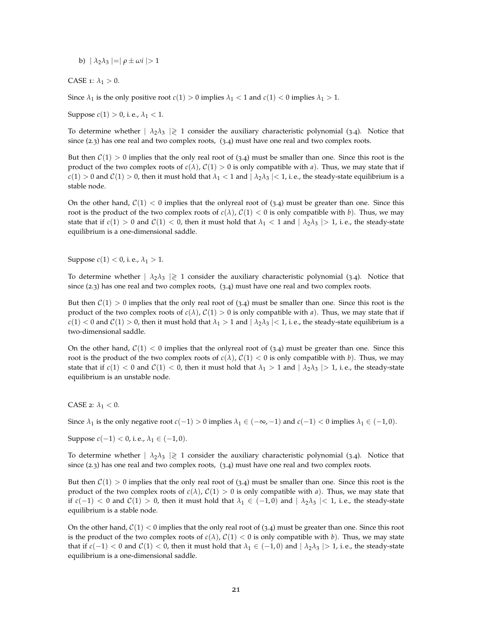b)  $|\lambda_2 \lambda_3| = |\rho \pm \omega i| > 1$ 

CASE 1:  $\lambda_1 > 0$ .

Since  $\lambda_1$  is the only positive root  $c(1) > 0$  implies  $\lambda_1 < 1$  and  $c(1) < 0$  implies  $\lambda_1 > 1$ .

Suppose *c*(1) > 0, i.e.,  $\lambda_1$  < 1.

To determine whether  $| \lambda_2 \lambda_3 | \geq 1$  consider the auxiliary characteristic polynomial (3.4). Notice that since (2.3) has one real and two complex roots, (3.4) must have one real and two complex roots.

But then  $C(1) > 0$  implies that the only real root of (3.4) must be smaller than one. Since this root is the product of the two complex roots of  $c(\lambda)$ ,  $C(1) > 0$  is only compatible with *a*). Thus, we may state that if  $c(1) > 0$  and  $C(1) > 0$ , then it must hold that  $\lambda_1 < 1$  and  $|\lambda_2 \lambda_3| < 1$ , i.e., the steady-state equilibrium is a stable node.

On the other hand,  $C(1) < 0$  implies that the onlyreal root of (3.4) must be greater than one. Since this root is the product of the two complex roots of  $c(\lambda)$ ,  $C(1) < 0$  is only compatible with *b*). Thus, we may state that if  $c(1) > 0$  and  $C(1) < 0$ , then it must hold that  $\lambda_1 < 1$  and  $|\lambda_2 \lambda_3| > 1$ , i.e., the steady-state equilibrium is a one-dimensional saddle.

Suppose *c*(1) < 0, i.e.,  $\lambda_1$  > 1.

To determine whether  $|\lambda_2\lambda_3|\geq 1$  consider the auxiliary characteristic polynomial (3.4). Notice that since (2.3) has one real and two complex roots, (3.4) must have one real and two complex roots.

But then  $C(1) > 0$  implies that the only real root of (3.4) must be smaller than one. Since this root is the product of the two complex roots of  $c(\lambda)$ ,  $C(1) > 0$  is only compatible with *a*). Thus, we may state that if  $c(1) < 0$  and  $C(1) > 0$ , then it must hold that  $\lambda_1 > 1$  and  $|\lambda_2 \lambda_3| < 1$ , i.e., the steady-state equilibrium is a two-dimensional saddle.

On the other hand,  $C(1) < 0$  implies that the onlyreal root of (3.4) must be greater than one. Since this root is the product of the two complex roots of  $c(\lambda)$ ,  $C(1) < 0$  is only compatible with *b*). Thus, we may state that if  $c(1) < 0$  and  $c(1) < 0$ , then it must hold that  $\lambda_1 > 1$  and  $|\lambda_2 \lambda_3| > 1$ , i.e., the steady-state equilibrium is an unstable node.

CASE 2:  $\lambda_1 < 0$ .

Since  $\lambda_1$  is the only negative root  $c(-1) > 0$  implies  $\lambda_1 \in (-\infty, -1)$  and  $c(-1) < 0$  implies  $\lambda_1 \in (-1, 0)$ .

Suppose *c*(−1) < 0, i. e., *λ*<sup>1</sup> ∈ (−1, 0).

To determine whether  $| \lambda_2 \lambda_3 | \geq 1$  consider the auxiliary characteristic polynomial (3.4). Notice that since (2.3) has one real and two complex roots, (3.4) must have one real and two complex roots.

But then  $C(1) > 0$  implies that the only real root of (3.4) must be smaller than one. Since this root is the product of the two complex roots of  $c(\lambda)$ ,  $C(1) > 0$  is only compatible with *a*). Thus, we may state that if  $c(-1) < 0$  and  $C(1) > 0$ , then it must hold that  $\lambda_1 \in (-1,0)$  and  $|\lambda_2 \lambda_3| < 1$ , i.e., the steady-state equilibrium is a stable node.

On the other hand,  $C(1) < 0$  implies that the only real root of (3.4) must be greater than one. Since this root is the product of the two complex roots of  $c(\lambda)$ ,  $C(1) < 0$  is only compatible with *b*). Thus, we may state that if  $c(-1) < 0$  and  $C(1) < 0$ , then it must hold that  $\lambda_1 \in (-1,0)$  and  $|\lambda_2 \lambda_3| > 1$ , i.e., the steady-state equilibrium is a one-dimensional saddle.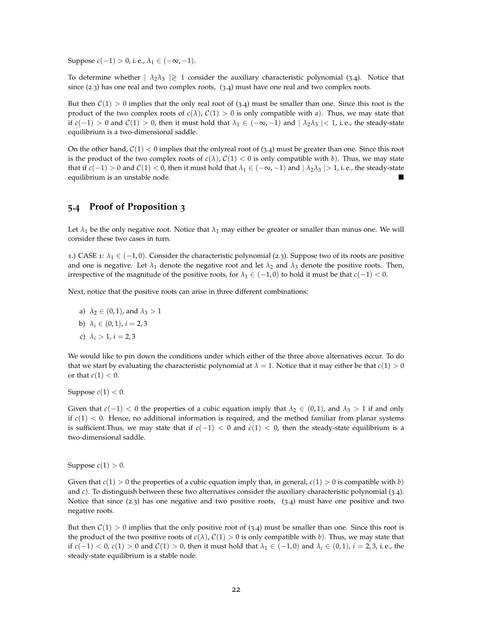Suppose  $c(-1) > 0$ , i.e.,  $\lambda_1 \in (-\infty, -1)$ .

To determine whether  $| \lambda_2 \lambda_3 | \geq 1$  consider the auxiliary characteristic polynomial (3.4). Notice that since (2.3) has one real and two complex roots, (3.4) must have one real and two complex roots.

But then  $C(1) > 0$  implies that the only real root of (3.4) must be smaller than one. Since this root is the product of the two complex roots of  $c(\lambda)$ ,  $C(1) > 0$  is only compatible with *a*). Thus, we may state that if  $c(-1) > 0$  and  $C(1) > 0$ , then it must hold that  $\lambda_1 \in (-\infty, -1)$  and  $|\lambda_2 \lambda_3| < 1$ , i.e., the steady-state equilibrium is a two-dimensional saddle.

On the other hand,  $C(1) < 0$  implies that the onlyreal root of (3.4) must be greater than one. Since this root is the product of the two complex roots of  $c(\lambda)$ ,  $C(1) < 0$  is only compatible with *b*). Thus, we may state that if  $c(-1) > 0$  and  $C(1) < 0$ , then it must hold that  $\lambda_1 \in (-\infty, -1)$  and  $|\lambda_2 \lambda_3| > 1$ , i.e., the steady-state equilibrium is an unstable node.

#### **5.4 Proof of Proposition 3**

Let  $\lambda_1$  be the only negative root. Notice that  $\lambda_1$  may either be greater or smaller than minus one. We will consider these two cases in turn.

1.) CASE 1:  $\lambda_1$  ∈ (−1,0). Consider the characteristic polynomial (2.3). Suppose two of its roots are positive and one is negative. Let  $\lambda_1$  denote the negative root and let  $\lambda_2$  and  $\lambda_3$  denote the positive roots. Then, irrespective of the magnitude of the positive roots, for  $\lambda_1 \in (-1,0)$  to hold it must be that  $c(-1) < 0$ .

Next, notice that the positive roots can arise in three different combinations:

a) 
$$
\lambda_2 \in (0,1)
$$
, and  $\lambda_3 > 1$ 

- b)  $\lambda_i \in (0, 1), i = 2, 3$
- c)  $\lambda_i > 1, i = 2, 3$

We would like to pin down the conditions under which either of the three above alternatives occur. To do that we start by evaluating the characteristic polynomial at  $\lambda = 1$ . Notice that it may either be that  $c(1) > 0$ or that  $c(1) < 0$ .

Suppose  $c(1) < 0$ .

Given that  $c(-1) < 0$  the properties of a cubic equation imply that  $\lambda_2 \in (0,1)$ , and  $\lambda_3 > 1$  if and only if  $c(1)$  < 0. Hence, no additional information is required, and the method familiar from planar systems is sufficient.Thus, we may state that if  $c(-1) < 0$  and  $c(1) < 0$ , then the steady-state equilibrium is a two-dimensional saddle.

Suppose  $c(1) > 0$ .

Given that  $c(1) > 0$  the properties of a cubic equation imply that, in general,  $c(1) > 0$  is compatible with *b*) and *c*). To distinguish between these two alternatives consider the auxiliary characteristic polynomial (3.4). Notice that since (2.3) has one negative and two positive roots, (3.4) must have one positive and two negative roots.

But then  $C(1) > 0$  implies that the only positive root of (3.4) must be smaller than one. Since this root is the product of the two positive roots of  $c(\lambda)$ ,  $C(1) > 0$  is only compatible with *b*). Thus, we may state that if *c*(−1) < 0, *c*(1) > 0 and *C*(1) > 0, then it must hold that  $\lambda_1$  ∈ (−1,0) and  $\lambda_i$  ∈ (0,1), *i* = 2,3, i.e., the steady-state equilibrium is a stable node.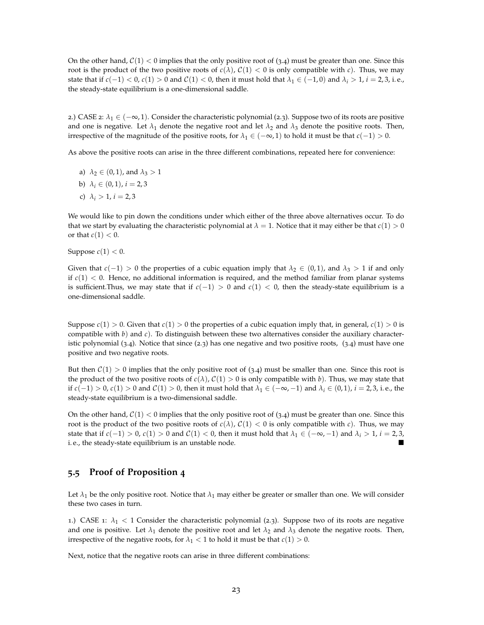On the other hand,  $C(1) < 0$  implies that the only positive root of (3.4) must be greater than one. Since this root is the product of the two positive roots of  $c(\lambda)$ ,  $C(1) < 0$  is only compatible with *c*). Thus, we may state that if *c*(−1) < 0, *c*(1) > 0 and *C*(1) < 0, then it must hold that  $λ_1 ∈ (−1, 0)$  and  $λ_i > 1$ , *i* = 2, 3, i. e., the steady-state equilibrium is a one-dimensional saddle.

2.) CASE 2:  $\lambda_1$  ∈ (−∞, 1). Consider the characteristic polynomial (2.3). Suppose two of its roots are positive and one is negative. Let  $\lambda_1$  denote the negative root and let  $\lambda_2$  and  $\lambda_3$  denote the positive roots. Then, irrespective of the magnitude of the positive roots, for  $\lambda_1 \in (-\infty, 1)$  to hold it must be that  $c(-1) > 0$ .

As above the positive roots can arise in the three different combinations, repeated here for convenience:

- a)  $\lambda_2 \in (0,1)$ , and  $\lambda_3 > 1$
- b)  $\lambda_i \in (0, 1), i = 2, 3$
- c)  $\lambda_i > 1, i = 2, 3$

We would like to pin down the conditions under which either of the three above alternatives occur. To do that we start by evaluating the characteristic polynomial at  $\lambda = 1$ . Notice that it may either be that  $c(1) > 0$ or that  $c(1) < 0$ .

Suppose  $c(1) < 0$ .

Given that  $c(-1) > 0$  the properties of a cubic equation imply that  $\lambda_2 \in (0,1)$ , and  $\lambda_3 > 1$  if and only if  $c(1) < 0$ . Hence, no additional information is required, and the method familiar from planar systems is sufficient.Thus, we may state that if  $c(-1) > 0$  and  $c(1) < 0$ , then the steady-state equilibrium is a one-dimensional saddle.

Suppose  $c(1) > 0$ . Given that  $c(1) > 0$  the properties of a cubic equation imply that, in general,  $c(1) > 0$  is compatible with *b*) and *c*). To distinguish between these two alternatives consider the auxiliary characteristic polynomial  $(3.4)$ . Notice that since  $(2.3)$  has one negative and two positive roots,  $(3.4)$  must have one positive and two negative roots.

But then  $C(1) > 0$  implies that the only positive root of (3.4) must be smaller than one. Since this root is the product of the two positive roots of  $c(\lambda)$ ,  $C(1) > 0$  is only compatible with *b*). Thus, we may state that if *c*(−1) > 0, *c*(1) > 0 and *C*(1) > 0, then it must hold that  $λ_1 ∈ (−∞, −1)$  and  $λ_i ∈ (0, 1)$ , *i* = 2, 3, i.e., the steady-state equilibrium is a two-dimensional saddle.

On the other hand,  $C(1) < 0$  implies that the only positive root of (3.4) must be greater than one. Since this root is the product of the two positive roots of  $c(\lambda)$ ,  $C(1) < 0$  is only compatible with *c*). Thus, we may state that if  $c(-1) > 0$ ,  $c(1) > 0$  and  $C(1) < 0$ , then it must hold that  $\lambda_1 \in (-\infty, -1)$  and  $\lambda_i > 1$ ,  $i = 2, 3$ , i. e., the steady-state equilibrium is an unstable node.

#### **5.5 Proof of Proposition 4**

Let  $\lambda_1$  be the only positive root. Notice that  $\lambda_1$  may either be greater or smaller than one. We will consider these two cases in turn.

1.) CASE 1:  $\lambda_1$  < 1 Consider the characteristic polynomial (2.3). Suppose two of its roots are negative and one is positive. Let  $\lambda_1$  denote the positive root and let  $\lambda_2$  and  $\lambda_3$  denote the negative roots. Then, irrespective of the negative roots, for  $\lambda_1 < 1$  to hold it must be that  $c(1) > 0$ .

Next, notice that the negative roots can arise in three different combinations: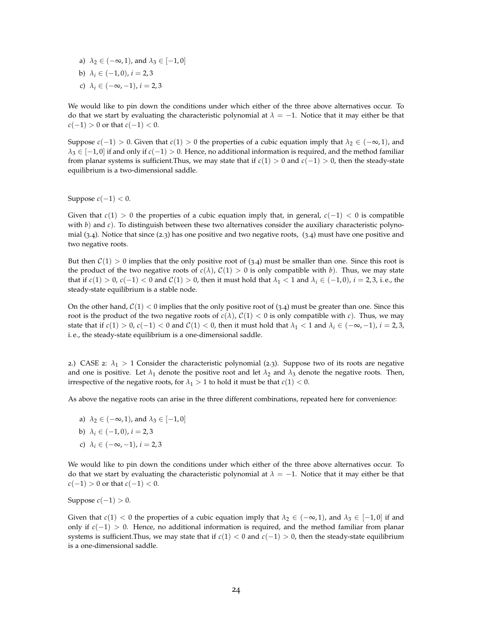- a)  $\lambda_2 \in (-\infty, 1)$ , and  $\lambda_3 \in [-1, 0]$
- b)  $\lambda_i \in (-1,0), i = 2,3$
- c)  $\lambda_i \in (-\infty, -1), i = 2, 3$

We would like to pin down the conditions under which either of the three above alternatives occur. To do that we start by evaluating the characteristic polynomial at  $\lambda = -1$ . Notice that it may either be that *c*(−1) > 0 or that *c*(−1) < 0.

Suppose  $c(-1) > 0$ . Given that  $c(1) > 0$  the properties of a cubic equation imply that  $\lambda_2 \in (-\infty, 1)$ , and *λ*<sup>3</sup> ∈ [−1, 0] if and only if *c*(−1) > 0. Hence, no additional information is required, and the method familiar from planar systems is sufficient.Thus, we may state that if *c*(1) > 0 and *c*(−1) > 0, then the steady-state equilibrium is a two-dimensional saddle.

Suppose  $c(-1) < 0$ .

Given that  $c(1) > 0$  the properties of a cubic equation imply that, in general,  $c(-1) < 0$  is compatible with *b*) and *c*). To distinguish between these two alternatives consider the auxiliary characteristic polynomial (3.4). Notice that since (2.3) has one positive and two negative roots, (3.4) must have one positive and two negative roots.

But then  $C(1) > 0$  implies that the only positive root of (3.4) must be smaller than one. Since this root is the product of the two negative roots of  $c(\lambda)$ ,  $C(1) > 0$  is only compatible with *b*). Thus, we may state that if  $c(1) > 0$ ,  $c(-1) < 0$  and  $C(1) > 0$ , then it must hold that  $\lambda_1 < 1$  and  $\lambda_i \in (-1, 0)$ ,  $i = 2, 3$ , i.e., the steady-state equilibrium is a stable node.

On the other hand,  $C(1) < 0$  implies that the only positive root of (3.4) must be greater than one. Since this root is the product of the two negative roots of  $c(\lambda)$ ,  $C(1) < 0$  is only compatible with *c*). Thus, we may state that if  $c(1) > 0$ ,  $c(-1) < 0$  and  $C(1) < 0$ , then it must hold that  $\lambda_1 < 1$  and  $\lambda_i \in (-\infty, -1)$ ,  $i = 2, 3$ , i. e., the steady-state equilibrium is a one-dimensional saddle.

2.) CASE 2:  $\lambda_1 > 1$  Consider the characteristic polynomial (2.3). Suppose two of its roots are negative and one is positive. Let  $\lambda_1$  denote the positive root and let  $\lambda_2$  and  $\lambda_3$  denote the negative roots. Then, irrespective of the negative roots, for  $\lambda_1 > 1$  to hold it must be that  $c(1) < 0$ .

As above the negative roots can arise in the three different combinations, repeated here for convenience:

- a)  $\lambda_2 \in (-\infty, 1)$ , and  $\lambda_3 \in [-1, 0]$
- b)  $\lambda_i \in (-1,0), i = 2,3$
- c)  $\lambda_i \in (-\infty, -1), i = 2, 3$

We would like to pin down the conditions under which either of the three above alternatives occur. To do that we start by evaluating the characteristic polynomial at  $\lambda = -1$ . Notice that it may either be that *c*(−1) > 0 or that  $c(-1)$  < 0.

Suppose  $c(-1) > 0$ .

Given that  $c(1) < 0$  the properties of a cubic equation imply that  $\lambda_2 \in (-\infty, 1)$ , and  $\lambda_3 \in [-1, 0]$  if and only if *c*(−1) > 0. Hence, no additional information is required, and the method familiar from planar systems is sufficient.Thus, we may state that if *c*(1) < 0 and *c*(−1) > 0, then the steady-state equilibrium is a one-dimensional saddle.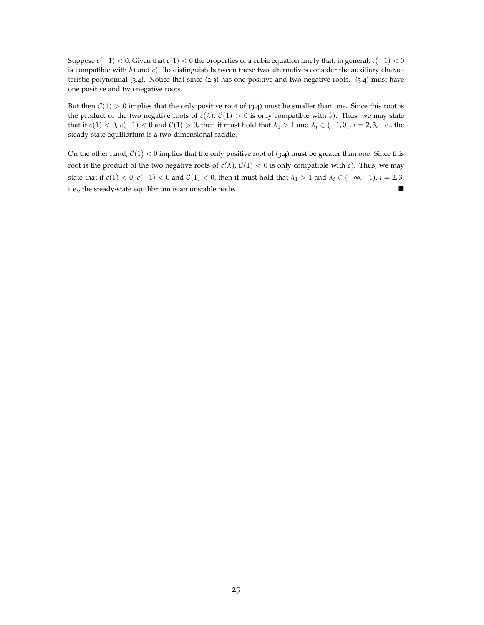Suppose  $c(-1) < 0$ . Given that  $c(1) < 0$  the properties of a cubic equation imply that, in general,  $c(-1) < 0$ is compatible with *b*) and *c*). To distinguish between these two alternatives consider the auxiliary characteristic polynomial  $(3.4)$ . Notice that since  $(2.3)$  has one positive and two negative roots,  $(3.4)$  must have one positive and two negative roots.

But then  $C(1) > 0$  implies that the only positive root of (3.4) must be smaller than one. Since this root is the product of the two negative roots of  $c(\lambda)$ ,  $C(1) > 0$  is only compatible with *b*). Thus, we may state that if  $c(1) < 0$ ,  $c(-1) < 0$  and  $C(1) > 0$ , then it must hold that  $\lambda_1 > 1$  and  $\lambda_i \in (-1,0)$ ,  $i = 2,3$ , i.e., the steady-state equilibrium is a two-dimensional saddle.

On the other hand,  $C(1) < 0$  implies that the only positive root of (3.4) must be greater than one. Since this root is the product of the two negative roots of  $c(\lambda)$ ,  $C(1) < 0$  is only compatible with *c*). Thus, we may state that if  $c(1) < 0$ ,  $c(-1) < 0$  and  $C(1) < 0$ , then it must hold that  $\lambda_1 > 1$  and  $\lambda_i \in (-\infty, -1)$ ,  $i = 2, 3$ , i. e., the steady-state equilibrium is an unstable node.